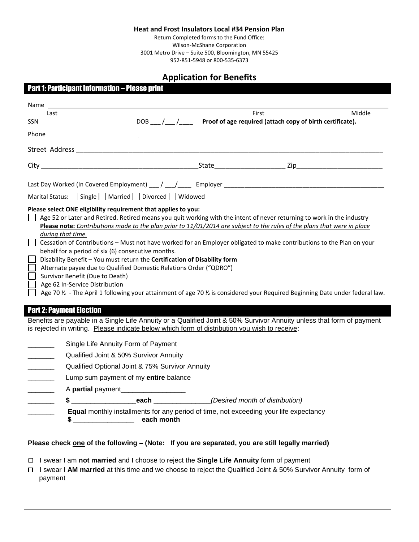#### **Heat and Frost Insulators Local #34 Pension Plan**

Return Completed forms to the Fund Office: Wilson-McShane Corporation 3001 Metro Drive – Suite 500, Bloomington, MN 55425

952-851-5948 or 800-535-6373

# **Application for Benefits**

| <b>Part 1: Participant Information - Please print</b>                                                                                                                                                                                                                                                                                                                                                                                                                                                                                                                                                                                                                                                                                                                                                                                                                                                                                                                                                                                                                                                       |  |  |  |
|-------------------------------------------------------------------------------------------------------------------------------------------------------------------------------------------------------------------------------------------------------------------------------------------------------------------------------------------------------------------------------------------------------------------------------------------------------------------------------------------------------------------------------------------------------------------------------------------------------------------------------------------------------------------------------------------------------------------------------------------------------------------------------------------------------------------------------------------------------------------------------------------------------------------------------------------------------------------------------------------------------------------------------------------------------------------------------------------------------------|--|--|--|
|                                                                                                                                                                                                                                                                                                                                                                                                                                                                                                                                                                                                                                                                                                                                                                                                                                                                                                                                                                                                                                                                                                             |  |  |  |
| First<br>Middle<br>Last                                                                                                                                                                                                                                                                                                                                                                                                                                                                                                                                                                                                                                                                                                                                                                                                                                                                                                                                                                                                                                                                                     |  |  |  |
| DOB __/__/___ Proof of age required (attach copy of birth certificate).<br><b>SSN</b>                                                                                                                                                                                                                                                                                                                                                                                                                                                                                                                                                                                                                                                                                                                                                                                                                                                                                                                                                                                                                       |  |  |  |
| Phone                                                                                                                                                                                                                                                                                                                                                                                                                                                                                                                                                                                                                                                                                                                                                                                                                                                                                                                                                                                                                                                                                                       |  |  |  |
|                                                                                                                                                                                                                                                                                                                                                                                                                                                                                                                                                                                                                                                                                                                                                                                                                                                                                                                                                                                                                                                                                                             |  |  |  |
|                                                                                                                                                                                                                                                                                                                                                                                                                                                                                                                                                                                                                                                                                                                                                                                                                                                                                                                                                                                                                                                                                                             |  |  |  |
|                                                                                                                                                                                                                                                                                                                                                                                                                                                                                                                                                                                                                                                                                                                                                                                                                                                                                                                                                                                                                                                                                                             |  |  |  |
| Marital Status: Single   Married   Divorced   Widowed                                                                                                                                                                                                                                                                                                                                                                                                                                                                                                                                                                                                                                                                                                                                                                                                                                                                                                                                                                                                                                                       |  |  |  |
| Age 52 or Later and Retired. Retired means you quit working with the intent of never returning to work in the industry<br>Please note: Contributions made to the plan prior to 11/01/2014 are subject to the rules of the plans that were in place<br>during that time.<br>$\Box$<br>Cessation of Contributions - Must not have worked for an Employer obligated to make contributions to the Plan on your<br>behalf for a period of six (6) consecutive months.<br>Disability Benefit - You must return the Certification of Disability form<br>Alternate payee due to Qualified Domestic Relations Order ("QDRO")<br>Survivor Benefit (Due to Death)<br>Age 62 In-Service Distribution<br>Age 70 $\frac{1}{2}$ - The April 1 following your attainment of age 70 $\frac{1}{2}$ is considered your Required Beginning Date under federal law.<br><b>Part 2: Payment Election</b><br>Benefits are payable in a Single Life Annuity or a Qualified Joint & 50% Survivor Annuity unless that form of payment<br>is rejected in writing. Please indicate below which form of distribution you wish to receive: |  |  |  |
| Single Life Annuity Form of Payment                                                                                                                                                                                                                                                                                                                                                                                                                                                                                                                                                                                                                                                                                                                                                                                                                                                                                                                                                                                                                                                                         |  |  |  |
| Qualified Joint & 50% Survivor Annuity                                                                                                                                                                                                                                                                                                                                                                                                                                                                                                                                                                                                                                                                                                                                                                                                                                                                                                                                                                                                                                                                      |  |  |  |
| Qualified Optional Joint & 75% Survivor Annuity                                                                                                                                                                                                                                                                                                                                                                                                                                                                                                                                                                                                                                                                                                                                                                                                                                                                                                                                                                                                                                                             |  |  |  |
| Lump sum payment of my entire balance                                                                                                                                                                                                                                                                                                                                                                                                                                                                                                                                                                                                                                                                                                                                                                                                                                                                                                                                                                                                                                                                       |  |  |  |
| A partial payment                                                                                                                                                                                                                                                                                                                                                                                                                                                                                                                                                                                                                                                                                                                                                                                                                                                                                                                                                                                                                                                                                           |  |  |  |
| \$ _________________________each ________________(Desired month of distribution)                                                                                                                                                                                                                                                                                                                                                                                                                                                                                                                                                                                                                                                                                                                                                                                                                                                                                                                                                                                                                            |  |  |  |
| Equal monthly installments for any period of time, not exceeding your life expectancy<br>each month<br>$\sim$ $\sim$                                                                                                                                                                                                                                                                                                                                                                                                                                                                                                                                                                                                                                                                                                                                                                                                                                                                                                                                                                                        |  |  |  |
| Please check one of the following - (Note: If you are separated, you are still legally married)                                                                                                                                                                                                                                                                                                                                                                                                                                                                                                                                                                                                                                                                                                                                                                                                                                                                                                                                                                                                             |  |  |  |
| I swear I am not married and I choose to reject the Single Life Annuity form of payment<br>□<br>I swear I AM married at this time and we choose to reject the Qualified Joint & 50% Survivor Annuity form of<br>0<br>payment                                                                                                                                                                                                                                                                                                                                                                                                                                                                                                                                                                                                                                                                                                                                                                                                                                                                                |  |  |  |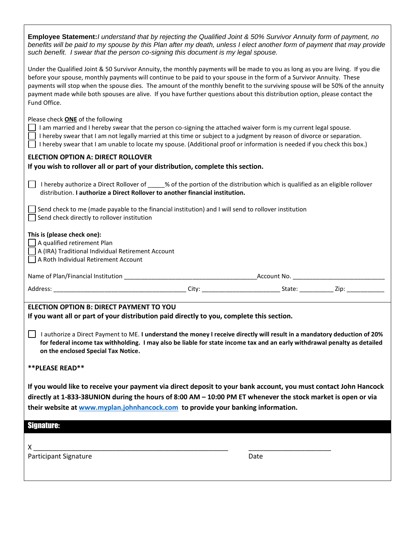| Employee Statement: I understand that by rejecting the Qualified Joint & 50% Survivor Annuity form of payment, no<br>benefits will be paid to my spouse by this Plan after my death, unless I elect another form of payment that may provide<br>such benefit. I swear that the person co-signing this document is my legal spouse.                                                                                                                                                                                                       |  |  |
|------------------------------------------------------------------------------------------------------------------------------------------------------------------------------------------------------------------------------------------------------------------------------------------------------------------------------------------------------------------------------------------------------------------------------------------------------------------------------------------------------------------------------------------|--|--|
| Under the Qualified Joint & 50 Survivor Annuity, the monthly payments will be made to you as long as you are living. If you die<br>before your spouse, monthly payments will continue to be paid to your spouse in the form of a Survivor Annuity. These<br>payments will stop when the spouse dies. The amount of the monthly benefit to the surviving spouse will be 50% of the annuity<br>payment made while both spouses are alive. If you have further questions about this distribution option, please contact the<br>Fund Office. |  |  |
| Please check ONE of the following<br>I am married and I hereby swear that the person co-signing the attached waiver form is my current legal spouse.<br>I hereby swear that I am not legally married at this time or subject to a judgment by reason of divorce or separation.<br>I hereby swear that I am unable to locate my spouse. (Additional proof or information is needed if you check this box.)                                                                                                                                |  |  |
| <b>ELECTION OPTION A: DIRECT ROLLOVER</b><br>If you wish to rollover all or part of your distribution, complete this section.                                                                                                                                                                                                                                                                                                                                                                                                            |  |  |
| I hereby authorize a Direct Rollover of _____% of the portion of the distribution which is qualified as an eligible rollover<br>distribution. I authorize a Direct Rollover to another financial institution.                                                                                                                                                                                                                                                                                                                            |  |  |
| Send check to me (made payable to the financial institution) and I will send to rollover institution<br>Send check directly to rollover institution                                                                                                                                                                                                                                                                                                                                                                                      |  |  |
| This is (please check one):<br>A qualified retirement Plan<br>A (IRA) Traditional Individual Retirement Account<br>A Roth Individual Retirement Account                                                                                                                                                                                                                                                                                                                                                                                  |  |  |
|                                                                                                                                                                                                                                                                                                                                                                                                                                                                                                                                          |  |  |
|                                                                                                                                                                                                                                                                                                                                                                                                                                                                                                                                          |  |  |
| <b>ELECTION OPTION B: DIRECT PAYMENT TO YOU</b><br>If you want all or part of your distribution paid directly to you, complete this section.                                                                                                                                                                                                                                                                                                                                                                                             |  |  |
| I authorize a Direct Payment to ME. I understand the money I receive directly will result in a mandatory deduction of 20%<br>for federal income tax withholding. I may also be liable for state income tax and an early withdrawal penalty as detailed<br>on the enclosed Special Tax Notice.                                                                                                                                                                                                                                            |  |  |
| **PLEASE READ**                                                                                                                                                                                                                                                                                                                                                                                                                                                                                                                          |  |  |
| If you would like to receive your payment via direct deposit to your bank account, you must contact John Hancock<br>directly at 1-833-38UNION during the hours of 8:00 AM - 10:00 PM ET whenever the stock market is open or via<br>their website at www.myplan.johnhancock.com to provide your banking information.                                                                                                                                                                                                                     |  |  |
|                                                                                                                                                                                                                                                                                                                                                                                                                                                                                                                                          |  |  |
| <b>Signature:</b>                                                                                                                                                                                                                                                                                                                                                                                                                                                                                                                        |  |  |
| X.<br><b>Participant Signature</b><br>Date                                                                                                                                                                                                                                                                                                                                                                                                                                                                                               |  |  |